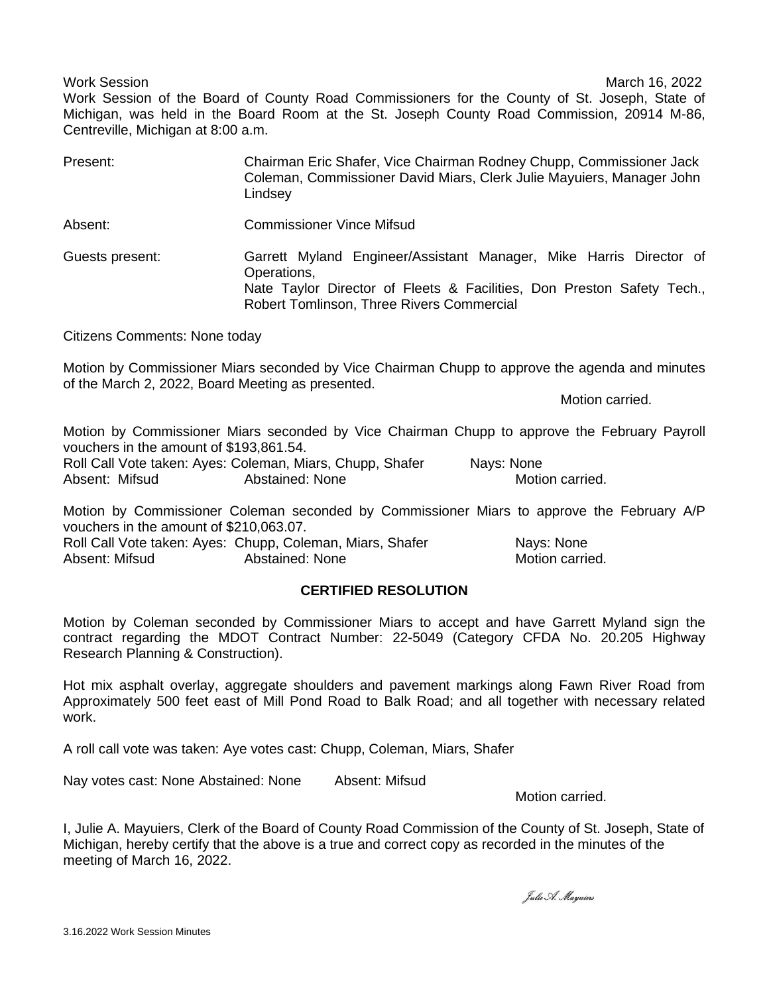Work Session March 16, 2022 Work Session of the Board of County Road Commissioners for the County of St. Joseph, State of Michigan, was held in the Board Room at the St. Joseph County Road Commission, 20914 M-86, Centreville, Michigan at 8:00 a.m.

| Present:        | Chairman Eric Shafer, Vice Chairman Rodney Chupp, Commissioner Jack<br>Coleman, Commissioner David Miars, Clerk Julie Mayuiers, Manager John<br>Lindsey                                                  |
|-----------------|----------------------------------------------------------------------------------------------------------------------------------------------------------------------------------------------------------|
| Absent:         | <b>Commissioner Vince Mifsud</b>                                                                                                                                                                         |
| Guests present: | Garrett Myland Engineer/Assistant Manager, Mike Harris Director of<br>Operations,<br>Nate Taylor Director of Fleets & Facilities, Don Preston Safety Tech.,<br>Robert Tomlinson, Three Rivers Commercial |

Citizens Comments: None today

Motion by Commissioner Miars seconded by Vice Chairman Chupp to approve the agenda and minutes of the March 2, 2022, Board Meeting as presented.

Motion carried.

Motion by Commissioner Miars seconded by Vice Chairman Chupp to approve the February Payroll vouchers in the amount of \$193,861.54.

Roll Call Vote taken: Ayes: Coleman, Miars, Chupp, Shafer Nays: None Absent: Mifsud **Abstained: None** Motion carried.

Motion by Commissioner Coleman seconded by Commissioner Miars to approve the February A/P vouchers in the amount of \$210,063.07.

Roll Call Vote taken: Ayes: Chupp, Coleman, Miars, Shafer Nays: None Absent: Mifsud **Abstained: None** Motion carried.

# **CERTIFIED RESOLUTION**

Motion by Coleman seconded by Commissioner Miars to accept and have Garrett Myland sign the contract regarding the MDOT Contract Number: 22-5049 (Category CFDA No. 20.205 Highway Research Planning & Construction).

Hot mix asphalt overlay, aggregate shoulders and pavement markings along Fawn River Road from Approximately 500 feet east of Mill Pond Road to Balk Road; and all together with necessary related work.

A roll call vote was taken: Aye votes cast: Chupp, Coleman, Miars, Shafer

Nay votes cast: None Abstained: None Absent: Mifsud

Motion carried.

I, Julie A. Mayuiers, Clerk of the Board of County Road Commission of the County of St. Joseph, State of Michigan, hereby certify that the above is a true and correct copy as recorded in the minutes of the meeting of March 16, 2022.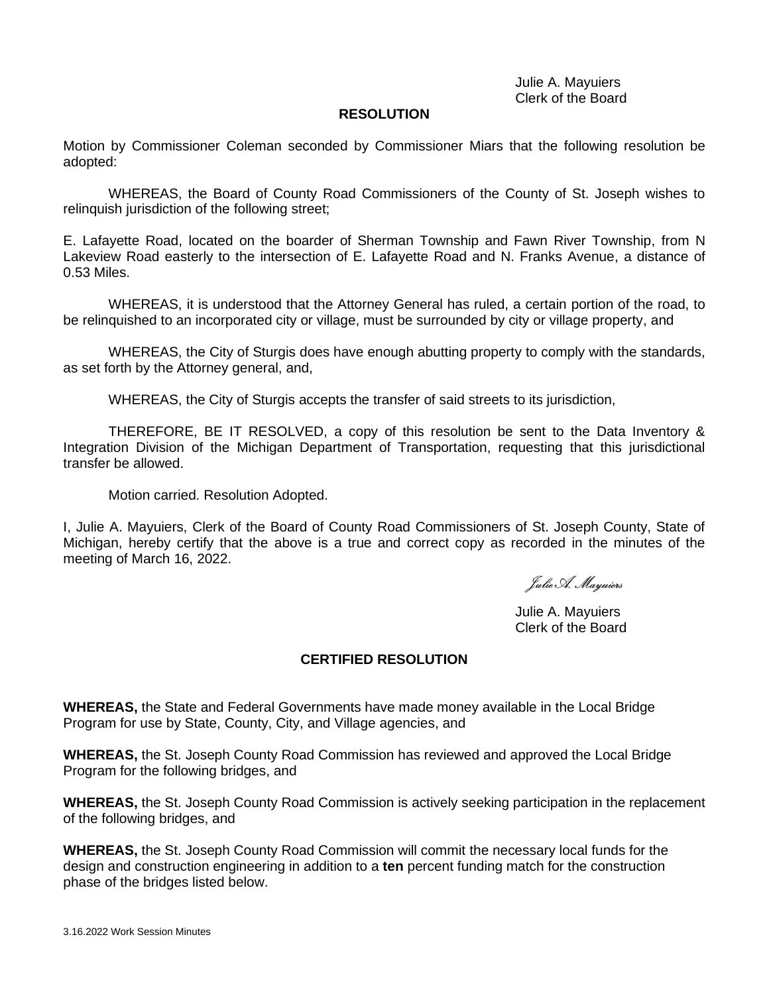Julie A. Mayuiers Clerk of the Board

### **RESOLUTION**

Motion by Commissioner Coleman seconded by Commissioner Miars that the following resolution be adopted:

WHEREAS, the Board of County Road Commissioners of the County of St. Joseph wishes to relinquish jurisdiction of the following street;

E. Lafayette Road, located on the boarder of Sherman Township and Fawn River Township, from N Lakeview Road easterly to the intersection of E. Lafayette Road and N. Franks Avenue, a distance of 0.53 Miles.

WHEREAS, it is understood that the Attorney General has ruled, a certain portion of the road, to be relinquished to an incorporated city or village, must be surrounded by city or village property, and

WHEREAS, the City of Sturgis does have enough abutting property to comply with the standards, as set forth by the Attorney general, and,

WHEREAS, the City of Sturgis accepts the transfer of said streets to its jurisdiction,

THEREFORE, BE IT RESOLVED, a copy of this resolution be sent to the Data Inventory & Integration Division of the Michigan Department of Transportation, requesting that this jurisdictional transfer be allowed.

Motion carried. Resolution Adopted.

I, Julie A. Mayuiers, Clerk of the Board of County Road Commissioners of St. Joseph County, State of Michigan, hereby certify that the above is a true and correct copy as recorded in the minutes of the meeting of March 16, 2022.

Julie A. Mayuiers

Julie A. Mayuiers Clerk of the Board

## **CERTIFIED RESOLUTION**

**WHEREAS,** the State and Federal Governments have made money available in the Local Bridge Program for use by State, County, City, and Village agencies, and

**WHEREAS,** the St. Joseph County Road Commission has reviewed and approved the Local Bridge Program for the following bridges, and

**WHEREAS,** the St. Joseph County Road Commission is actively seeking participation in the replacement of the following bridges, and

**WHEREAS,** the St. Joseph County Road Commission will commit the necessary local funds for the design and construction engineering in addition to a **ten** percent funding match for the construction phase of the bridges listed below.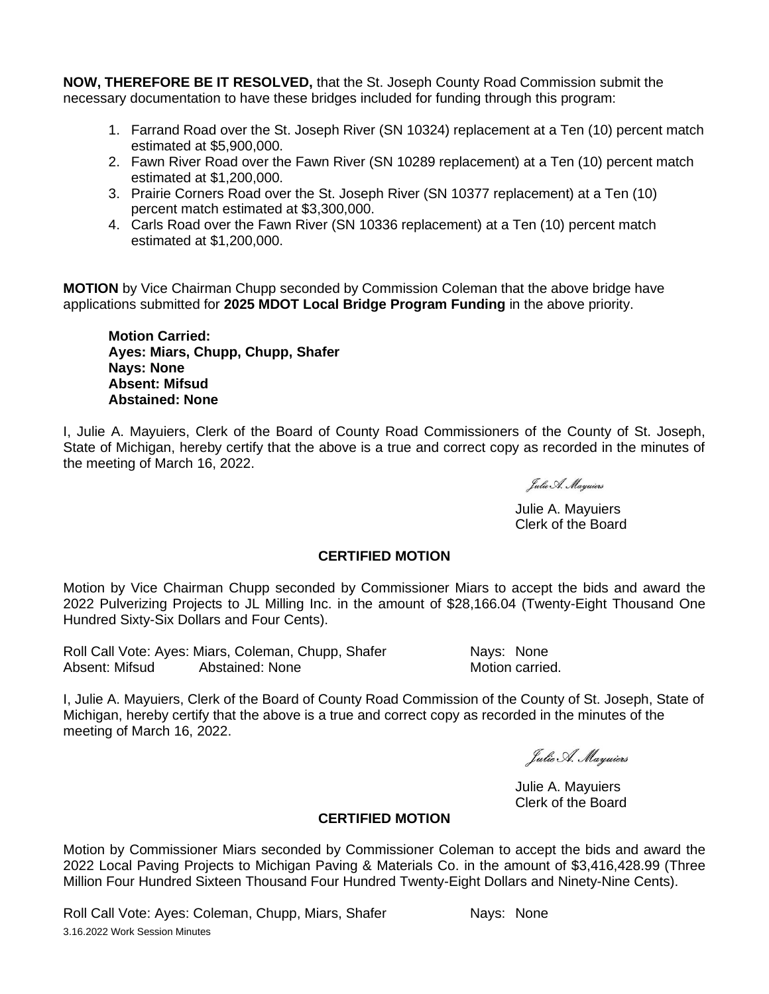**NOW, THEREFORE BE IT RESOLVED,** that the St. Joseph County Road Commission submit the necessary documentation to have these bridges included for funding through this program:

- 1. Farrand Road over the St. Joseph River (SN 10324) replacement at a Ten (10) percent match estimated at \$5,900,000.
- 2. Fawn River Road over the Fawn River (SN 10289 replacement) at a Ten (10) percent match estimated at \$1,200,000.
- 3. Prairie Corners Road over the St. Joseph River (SN 10377 replacement) at a Ten (10) percent match estimated at \$3,300,000.
- 4. Carls Road over the Fawn River (SN 10336 replacement) at a Ten (10) percent match estimated at \$1,200,000.

**MOTION** by Vice Chairman Chupp seconded by Commission Coleman that the above bridge have applications submitted for **2025 MDOT Local Bridge Program Funding** in the above priority.

**Motion Carried: Ayes: Miars, Chupp, Chupp, Shafer Nays: None Absent: Mifsud Abstained: None**

I, Julie A. Mayuiers, Clerk of the Board of County Road Commissioners of the County of St. Joseph, State of Michigan, hereby certify that the above is a true and correct copy as recorded in the minutes of the meeting of March 16, 2022.

Julie A. Mayuiers

Julie A. Mayuiers Clerk of the Board

# **CERTIFIED MOTION**

Motion by Vice Chairman Chupp seconded by Commissioner Miars to accept the bids and award the 2022 Pulverizing Projects to JL Milling Inc. in the amount of \$28,166.04 (Twenty-Eight Thousand One Hundred Sixty-Six Dollars and Four Cents).

Roll Call Vote: Ayes: Miars, Coleman, Chupp, Shafer Nays: None Absent: Mifsud Abstained: None Motion carried.

I, Julie A. Mayuiers, Clerk of the Board of County Road Commission of the County of St. Joseph, State of Michigan, hereby certify that the above is a true and correct copy as recorded in the minutes of the meeting of March 16, 2022.

Julie A. Mayuiers

Julie A. Mayuiers Clerk of the Board

## **CERTIFIED MOTION**

Motion by Commissioner Miars seconded by Commissioner Coleman to accept the bids and award the 2022 Local Paving Projects to Michigan Paving & Materials Co. in the amount of \$3,416,428.99 (Three Million Four Hundred Sixteen Thousand Four Hundred Twenty-Eight Dollars and Ninety-Nine Cents).

3.16.2022 Work Session Minutes Roll Call Vote: Ayes: Coleman, Chupp, Miars, Shafer Nays: None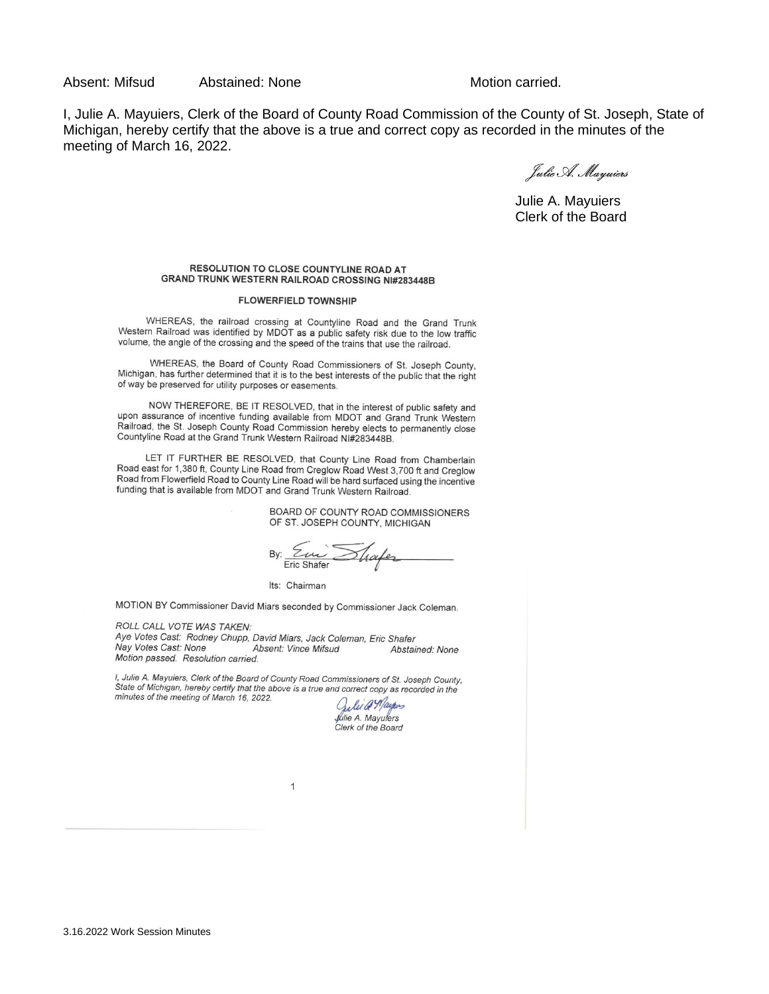Absent: Mifsud Abstained: None Motion carried.

I, Julie A. Mayuiers, Clerk of the Board of County Road Commission of the County of St. Joseph, State of Michigan, hereby certify that the above is a true and correct copy as recorded in the minutes of the meeting of March 16, 2022.

Julie A. Mayuiers

Julie A. Mayuiers Clerk of the Board

#### RESOLUTION TO CLOSE COUNTYLINE ROAD AT **GRAND TRUNK WESTERN RAILROAD CROSSING NI#283448B**

#### **FLOWERFIELD TOWNSHIP**

WHEREAS, the railroad crossing at Countyline Road and the Grand Trunk<br>Western Railroad was identified by MDOT as a public safety risk due to the low traffic volume, the angle of the crossing and the speed of the trains that use the railroad.

WHEREAS, the Board of County Road Commissioners of St. Joseph County, Michigan, has further determined that it is to the best interests of the public that the right of way be preserved for utility purposes or easements.

NOW THEREFORE, BE IT RESOLVED, that in the interest of public safety and upon assurance of incentive funding available from MDOT and Grand Trunk Western Railroad, the St. Joseph County Road Commission hereby elects to permanently close Countyline Road at the Grand Trunk Western Railroad NI#283448B.

LET IT FURTHER BE RESOLVED, that County Line Road from Chamberlain Road east for 1,380 ft, County Line Road from Creglow Road West 3,700 ft and Creglow Road from Flowerfield Road to County Line Road will be hard surfaced using the incentive funding that is available from MDOT and Grand Trunk Western Railroad.

> BOARD OF COUNTY ROAD COMMISSIONERS OF ST. JOSEPH COUNTY, MICHIGAN

By: Eur Shafe

Its: Chairman

MOTION BY Commissioner David Miars seconded by Commissioner Jack Coleman.

ROLL CALL VOTE WAS TAKEN: Aye Votes Cast: Rodney Chupp, David Miars, Jack Coleman, Eric Shafer Nay Votes Cast: None **Absent: Vince Mifsud** Abstained: None Motion passed. Resolution carried.

I, Julie A. Mayuiers, Clerk of the Board of County Road Commissioners of St. Joseph County, State of Michigan, hereby certify that the above is a true and commissioners or St. Joseph County<br>State of Michigan, hereby certify that the above is a true and correct copy as recorded in the<br>minutes of the meeting of Ma

Juli @ Mayons fulie A. Mayulers<br>Clerk of the Board

 $\overline{1}$